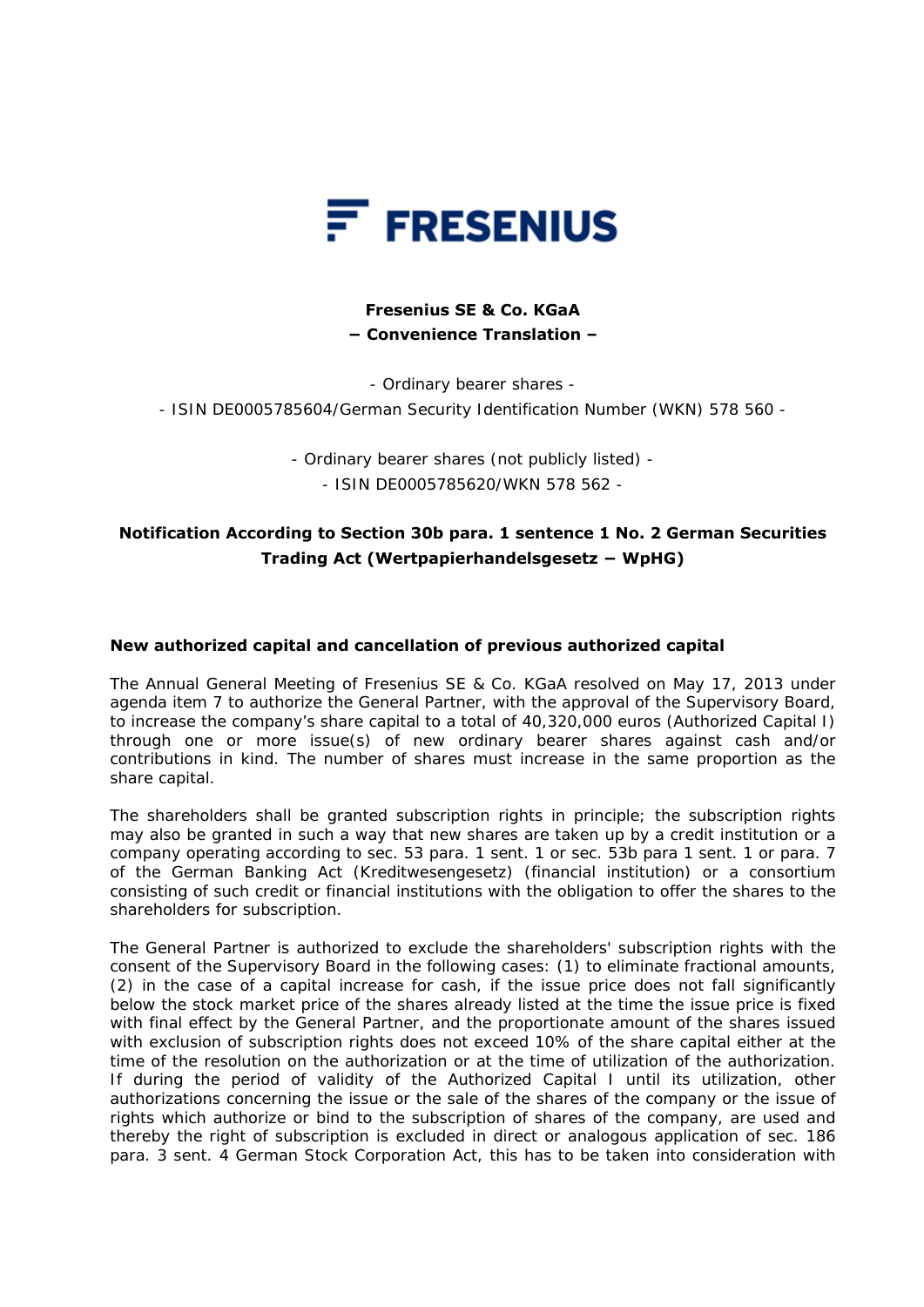

## **Fresenius SE & Co. KGaA − Convenience Translation –**

- Ordinary bearer shares -

- ISIN DE0005785604/German Security Identification Number (WKN) 578 560 -

- Ordinary bearer shares (not publicly listed) - - ISIN DE0005785620/WKN 578 562 -

## **Notification According to Section 30b para. 1 sentence 1 No. 2 German Securities Trading Act (Wertpapierhandelsgesetz − WpHG)**

## **New authorized capital and cancellation of previous authorized capital**

The Annual General Meeting of Fresenius SE & Co. KGaA resolved on May 17, 2013 under agenda item 7 to authorize the General Partner, with the approval of the Supervisory Board, to increase the company's share capital to a total of 40,320,000 euros (Authorized Capital I) through one or more issue(s) of new ordinary bearer shares against cash and/or contributions in kind. The number of shares must increase in the same proportion as the share capital.

The shareholders shall be granted subscription rights in principle; the subscription rights may also be granted in such a way that new shares are taken up by a credit institution or a company operating according to sec. 53 para. 1 sent. 1 or sec. 53b para 1 sent. 1 or para. 7 of the German Banking Act (Kreditwesengesetz) (financial institution) or a consortium consisting of such credit or financial institutions with the obligation to offer the shares to the shareholders for subscription.

The General Partner is authorized to exclude the shareholders' subscription rights with the consent of the Supervisory Board in the following cases: (1) to eliminate fractional amounts, (2) in the case of a capital increase for cash, if the issue price does not fall significantly below the stock market price of the shares already listed at the time the issue price is fixed with final effect by the General Partner, and the proportionate amount of the shares issued with exclusion of subscription rights does not exceed 10% of the share capital either at the time of the resolution on the authorization or at the time of utilization of the authorization. If during the period of validity of the Authorized Capital I until its utilization, other authorizations concerning the issue or the sale of the shares of the company or the issue of rights which authorize or bind to the subscription of shares of the company, are used and thereby the right of subscription is excluded in direct or analogous application of sec. 186 para. 3 sent. 4 German Stock Corporation Act, this has to be taken into consideration with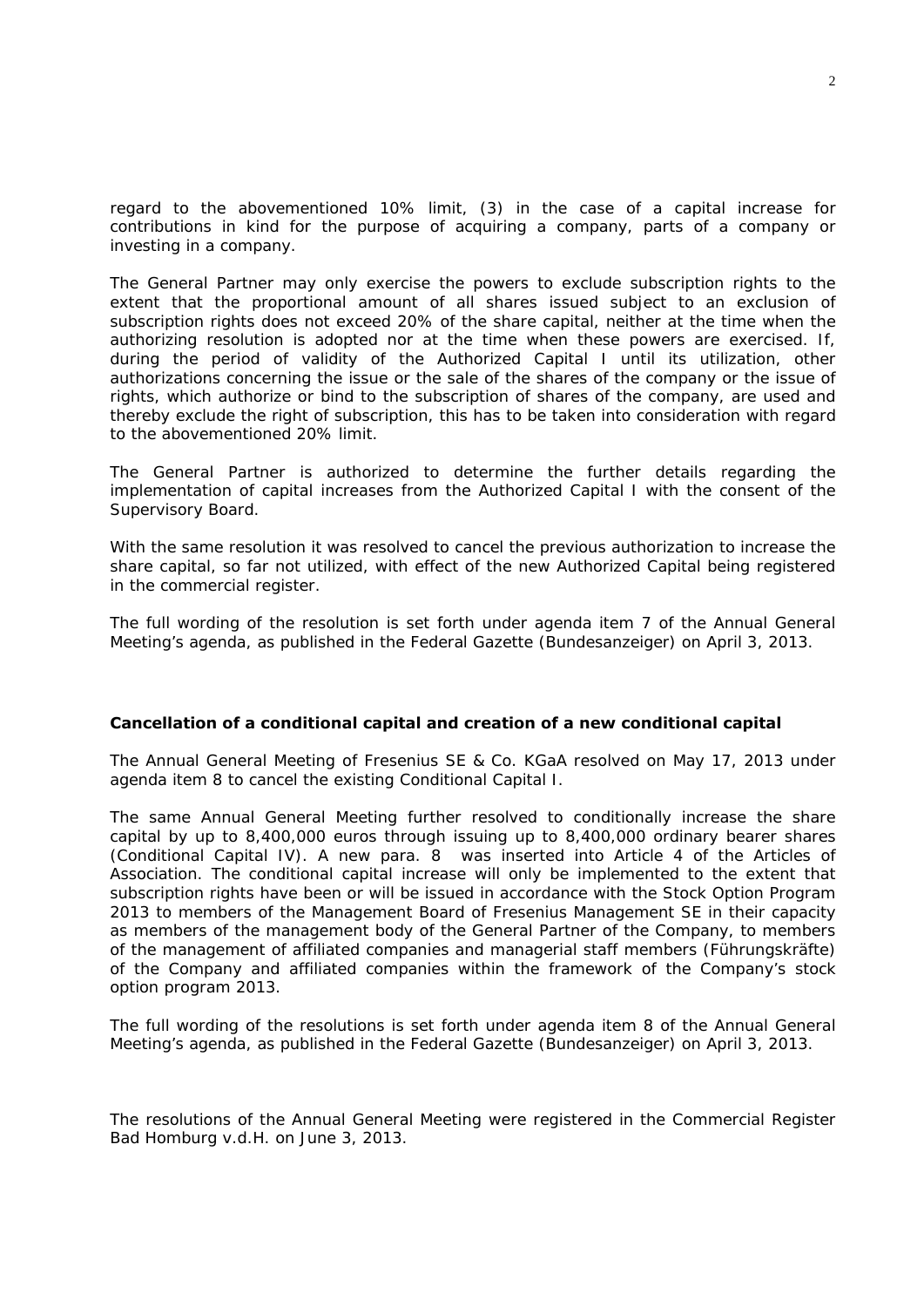regard to the abovementioned 10% limit, (3) in the case of a capital increase for contributions in kind for the purpose of acquiring a company, parts of a company or investing in a company.

The General Partner may only exercise the powers to exclude subscription rights to the extent that the proportional amount of all shares issued subject to an exclusion of subscription rights does not exceed 20% of the share capital, neither at the time when the authorizing resolution is adopted nor at the time when these powers are exercised. If, during the period of validity of the Authorized Capital I until its utilization, other authorizations concerning the issue or the sale of the shares of the company or the issue of rights, which authorize or bind to the subscription of shares of the company, are used and thereby exclude the right of subscription, this has to be taken into consideration with regard to the abovementioned 20% limit.

The General Partner is authorized to determine the further details regarding the implementation of capital increases from the Authorized Capital I with the consent of the Supervisory Board.

With the same resolution it was resolved to cancel the previous authorization to increase the share capital, so far not utilized, with effect of the new Authorized Capital being registered in the commercial register.

The full wording of the resolution is set forth under agenda item 7 of the Annual General Meeting's agenda, as published in the Federal Gazette (Bundesanzeiger) on April 3, 2013.

## **Cancellation of a conditional capital and creation of a new conditional capital**

The Annual General Meeting of Fresenius SE & Co. KGaA resolved on May 17, 2013 under agenda item 8 to cancel the existing Conditional Capital I.

The same Annual General Meeting further resolved to conditionally increase the share capital by up to 8,400,000 euros through issuing up to 8,400,000 ordinary bearer shares (Conditional Capital IV). A new para. 8 was inserted into Article 4 of the Articles of Association. The conditional capital increase will only be implemented to the extent that subscription rights have been or will be issued in accordance with the Stock Option Program 2013 to members of the Management Board of Fresenius Management SE in their capacity as members of the management body of the General Partner of the Company, to members of the management of affiliated companies and managerial staff members (Führungskräfte) of the Company and affiliated companies within the framework of the Company's stock option program 2013.

The full wording of the resolutions is set forth under agenda item 8 of the Annual General Meeting's agenda, as published in the Federal Gazette (Bundesanzeiger) on April 3, 2013.

The resolutions of the Annual General Meeting were registered in the Commercial Register Bad Homburg v.d.H. on June 3, 2013.